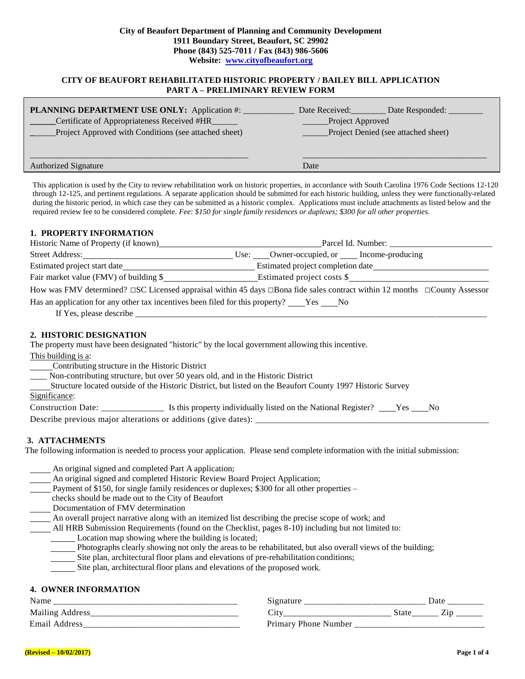#### **City of Beaufort Department of Planning and Community Development 1911 Boundary Street, Beaufort, SC 29902 Phone (843) 525-7011 / Fax (843) 986-5606 Website: [www.cityofbeaufort.org](http://www.cityofbeaufort.org/)**

## **CITY OF BEAUFORT REHABILITATED HISTORIC PROPERTY / BAILEY BILL APPLICATION PART A – PRELIMINARY REVIEW FORM**

| PLANNING DEPARTMENT USE ONLY: Application #:          | Date Received:<br>Date Responded:   |
|-------------------------------------------------------|-------------------------------------|
| Certificate of Appropriateness Received #HR           | Project Approved                    |
| Project Approved with Conditions (see attached sheet) | Project Denied (see attached sheet) |
|                                                       |                                     |
|                                                       |                                     |
| <b>Authorized Signature</b>                           | Date                                |

This application is used by the City to review rehabilitation work on historic properties, in accordance with South Carolina 1976 Code Sections 12-120 through 12-125, and pertinent regulations. A separate application should be submitted for each historic building, unless they were functionally-related during the historic period, in which case they can be submitted as a historic complex. Applications must include attachments as listed below and the required review fee to be considered complete. *Fee: \$150 for single family residences or duplexes; \$300 for all other properties.*

### **1. PROPERTY INFORMATION**

|                                                                                                                                                                                                                                                                                                                                                                                                                               | How was FMV determined? $\Box$ SC Licensed appraisal within 45 days $\Box$ Bona fide sales contract within 12 months $\Box$ County Assessor |
|-------------------------------------------------------------------------------------------------------------------------------------------------------------------------------------------------------------------------------------------------------------------------------------------------------------------------------------------------------------------------------------------------------------------------------|---------------------------------------------------------------------------------------------------------------------------------------------|
| Has an application for any other tax incentives been filed for this property? _____Yes ______No                                                                                                                                                                                                                                                                                                                               |                                                                                                                                             |
|                                                                                                                                                                                                                                                                                                                                                                                                                               |                                                                                                                                             |
| 2. HISTORIC DESIGNATION<br>The property must have been designated "historic" by the local government allowing this incentive.<br>This building is a:<br>Contributing structure in the Historic District<br>___ Non-contributing structure, but over 50 years old, and in the Historic District<br>Structure located outside of the Historic District, but listed on the Beaufort County 1997 Historic Survey<br>Significance: |                                                                                                                                             |

## **3. ATTACHMENTS**

The following information is needed to process your application. Please send complete information with the initial submission:

|  |  |  | An original signed and completed Part A application; |
|--|--|--|------------------------------------------------------|
|  |  |  |                                                      |

An original signed and completed Historic Review Board Project Application;

- Payment of \$150, for single family residences or duplexes; \$300 for all other properties –
- checks should be made out to the City of Beaufort
- Documentation of FMV determination

An overall project narrative along with an itemized list describing the precise scope of work; and

- All HRB Submission Requirements (found on the Checklist, pages 8-10) including but not limited to:
	- Location map showing where the building is located;
		- Photographs clearly showing not only the areas to be rehabilitated, but also overall views of the building;
		- Site plan, architectural floor plans and elevations of pre-rehabilitation conditions;
		- Site plan, architectural floor plans and elevations of the proposed work.

# **4. OWNER INFORMATION**

| Name                    | $51$ gnatur<br>ັ     | Date         |
|-------------------------|----------------------|--------------|
| <b>Mailing Address</b>  | ◡                    | State<br>___ |
| <b>Email</b><br>Address | Primary Phone Number |              |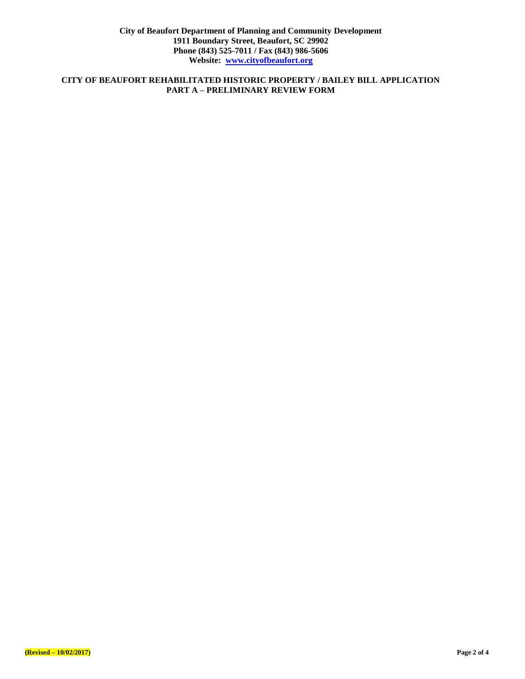# **CITY OF BEAUFORT REHABILITATED HISTORIC PROPERTY / BAILEY BILL APPLICATION PART A – PRELIMINARY REVIEW FORM**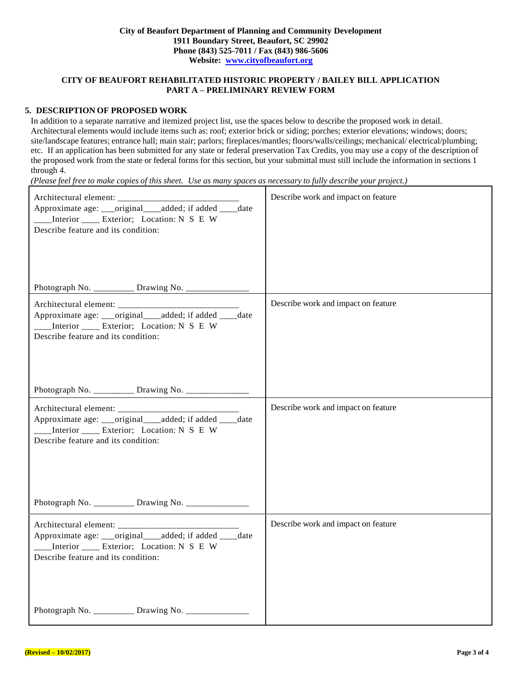# **CITY OF BEAUFORT REHABILITATED HISTORIC PROPERTY / BAILEY BILL APPLICATION PART A – PRELIMINARY REVIEW FORM**

## **5. DESCRIPTION OF PROPOSED WORK**

In addition to a separate narrative and itemized project list, use the spaces below to describe the proposed work in detail. Architectural elements would include items such as: roof; exterior brick or siding; porches; exterior elevations; windows; doors; site/landscape features; entrance hall; main stair; parlors; fireplaces/mantles; floors/walls/ceilings; mechanical/ electrical/plumbing; etc. If an application has been submitted for any state or federal preservation Tax Credits, you may use a copy of the description of the proposed work from the state or federal forms for this section, but your submittal must still include the information in sections 1 through 4.

(Please feel free to make copies of this sheet. Use as many spaces as necessary to fully describe your project.)

| Approximate age: ___original____added; if added ____date<br>___Interior ____ Exterior; Location: N S E W<br>Describe feature and its condition: | Describe work and impact on feature |
|-------------------------------------------------------------------------------------------------------------------------------------------------|-------------------------------------|
| Photograph No. ________ Drawing No. _________                                                                                                   |                                     |
| Approximate age: ___original___added; if added ____ date<br>___Interior ____ Exterior; Location: N S E W<br>Describe feature and its condition: | Describe work and impact on feature |
| Photograph No. _________ Drawing No. ___________                                                                                                |                                     |
| Approximate age: ___original___added; if added ____date<br>___Interior ____ Exterior; Location: N S E W<br>Describe feature and its condition:  | Describe work and impact on feature |
| Photograph No. _________ Drawing No. _____________                                                                                              |                                     |
| Approximate age: ___original___added; if added ___date<br>___Interior ____ Exterior; Location: N S E W<br>Describe feature and its condition:   | Describe work and impact on feature |
| Photograph No. ________ Drawing No. ____________                                                                                                |                                     |